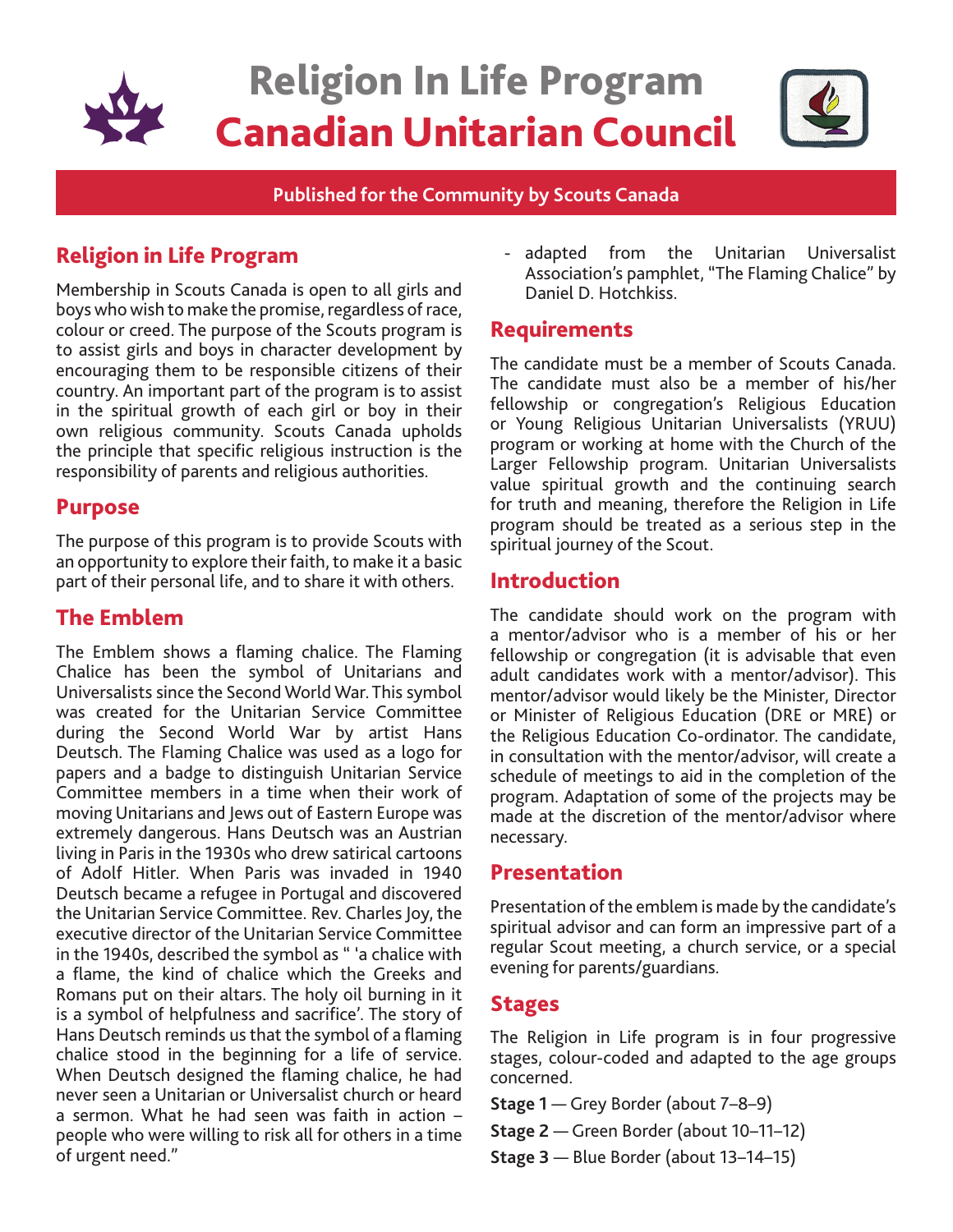

**Published for the Community by Scouts Canada**

# Religion in Life Program

Membership in Scouts Canada is open to all girls and boys who wish to make the promise, regardless of race, colour or creed. The purpose of the Scouts program is to assist girls and boys in character development by encouraging them to be responsible citizens of their country. An important part of the program is to assist in the spiritual growth of each girl or boy in their own religious community. Scouts Canada upholds the principle that specific religious instruction is the responsibility of parents and religious authorities.

#### Purpose

The purpose of this program is to provide Scouts with an opportunity to explore their faith, to make it a basic part of their personal life, and to share it with others.

## The Emblem

The Emblem shows a flaming chalice. The Flaming Chalice has been the symbol of Unitarians and Universalists since the Second World War. This symbol was created for the Unitarian Service Committee during the Second World War by artist Hans Deutsch. The Flaming Chalice was used as a logo for papers and a badge to distinguish Unitarian Service Committee members in a time when their work of moving Unitarians and Jews out of Eastern Europe was extremely dangerous. Hans Deutsch was an Austrian living in Paris in the 1930s who drew satirical cartoons of Adolf Hitler. When Paris was invaded in 1940 Deutsch became a refugee in Portugal and discovered the Unitarian Service Committee. Rev. Charles Joy, the executive director of the Unitarian Service Committee in the 1940s, described the symbol as " 'a chalice with a flame, the kind of chalice which the Greeks and Romans put on their altars. The holy oil burning in it is a symbol of helpfulness and sacrifice'. The story of Hans Deutsch reminds us that the symbol of a flaming chalice stood in the beginning for a life of service. When Deutsch designed the flaming chalice, he had never seen a Unitarian or Universalist church or heard a sermon. What he had seen was faith in action – people who were willing to risk all for others in a time of urgent need."

- adapted from the Unitarian Universalist Association's pamphlet, "The Flaming Chalice" by Daniel D. Hotchkiss.

#### Requirements

The candidate must be a member of Scouts Canada. The candidate must also be a member of his/her fellowship or congregation's Religious Education or Young Religious Unitarian Universalists (YRUU) program or working at home with the Church of the Larger Fellowship program. Unitarian Universalists value spiritual growth and the continuing search for truth and meaning, therefore the Religion in Life program should be treated as a serious step in the spiritual journey of the Scout.

### **Introduction**

The candidate should work on the program with a mentor/advisor who is a member of his or her fellowship or congregation (it is advisable that even adult candidates work with a mentor/advisor). This mentor/advisor would likely be the Minister, Director or Minister of Religious Education (DRE or MRE) or the Religious Education Co-ordinator. The candidate, in consultation with the mentor/advisor, will create a schedule of meetings to aid in the completion of the program. Adaptation of some of the projects may be made at the discretion of the mentor/advisor where necessary.

### Presentation

Presentation of the emblem is made by the candidate's spiritual advisor and can form an impressive part of a regular Scout meeting, a church service, or a special evening for parents/guardians.

#### Stages

The Religion in Life program is in four progressive stages, colour-coded and adapted to the age groups concerned.

- **Stage 1** Grey Border (about 7–8–9)
- **Stage 2** Green Border (about 10–11–12)
- **Stage 3** Blue Border (about 13–14–15)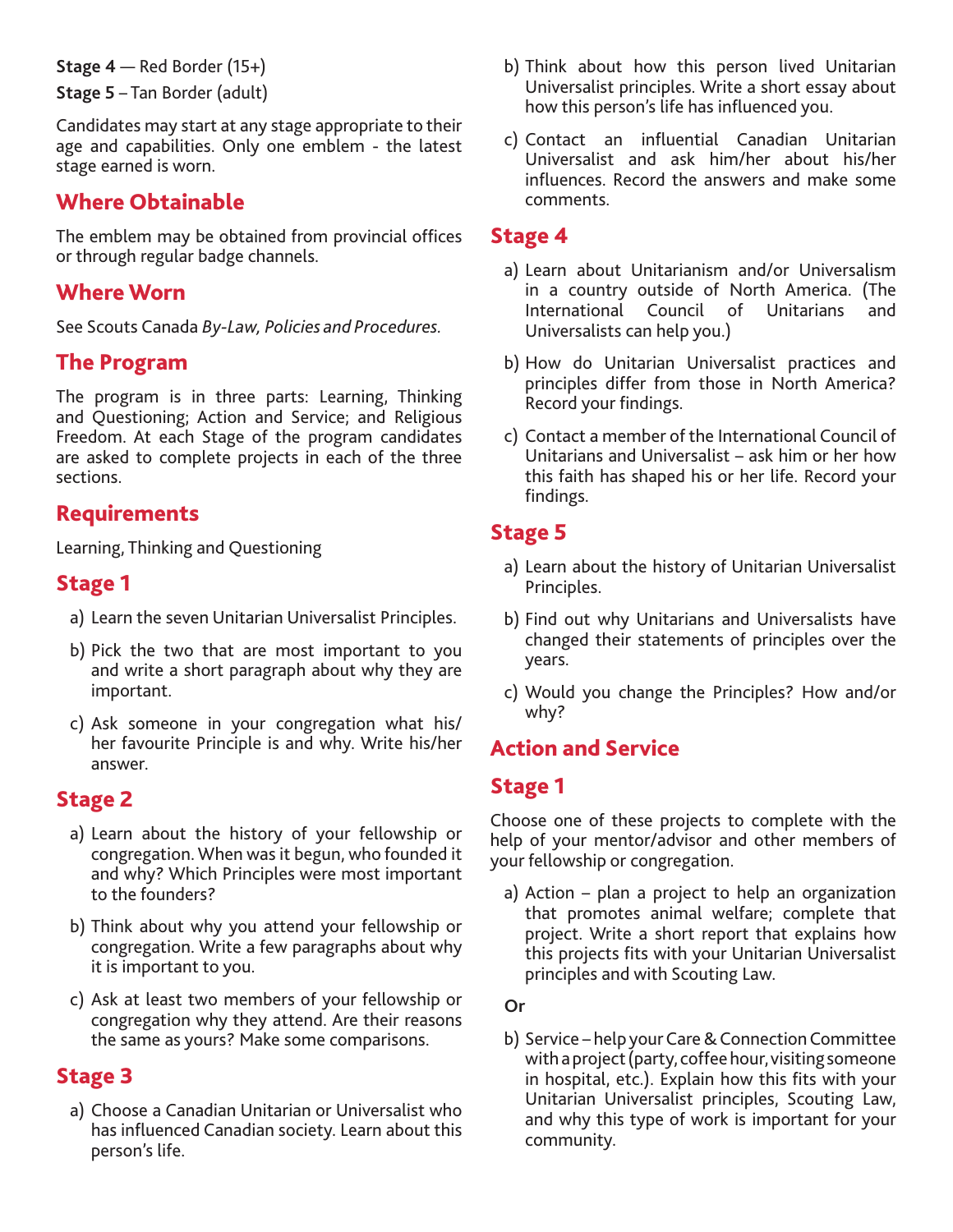**Stage 4** — Red Border (15+)

**Stage 5** – Tan Border (adult)

Candidates may start at any stage appropriate to their age and capabilities. Only one emblem - the latest stage earned is worn.

## Where Obtainable

The emblem may be obtained from provincial offices or through regular badge channels.

## Where Worn

See Scouts Canada *By-Law, Policies and Procedures.*

### The Program

The program is in three parts: Learning, Thinking and Questioning; Action and Service; and Religious Freedom. At each Stage of the program candidates are asked to complete projects in each of the three sections.

## **Requirements**

Learning, Thinking and Questioning

### Stage 1

- a) Learn the seven Unitarian Universalist Principles.
- b) Pick the two that are most important to you and write a short paragraph about why they are important.
- c) Ask someone in your congregation what his/ her favourite Principle is and why. Write his/her answer.

## Stage 2

- a) Learn about the history of your fellowship or congregation. When was it begun, who founded it and why? Which Principles were most important to the founders?
- b) Think about why you attend your fellowship or congregation. Write a few paragraphs about why it is important to you.
- c) Ask at least two members of your fellowship or congregation why they attend. Are their reasons the same as yours? Make some comparisons.

## Stage 3

a) Choose a Canadian Unitarian or Universalist who has influenced Canadian society. Learn about this person's life.

- b) Think about how this person lived Unitarian Universalist principles. Write a short essay about how this person's life has influenced you.
- c) Contact an influential Canadian Unitarian Universalist and ask him/her about his/her influences. Record the answers and make some comments.

### Stage 4

- a) Learn about Unitarianism and/or Universalism in a country outside of North America. (The International Council of Unitarians and Universalists can help you.)
- b) How do Unitarian Universalist practices and principles differ from those in North America? Record your findings.
- c) Contact a member of the International Council of Unitarians and Universalist – ask him or her how this faith has shaped his or her life. Record your findings.

## Stage 5

- a) Learn about the history of Unitarian Universalist Principles.
- b) Find out why Unitarians and Universalists have changed their statements of principles over the years.
- c) Would you change the Principles? How and/or why?

## Action and Service

## Stage 1

Choose one of these projects to complete with the help of your mentor/advisor and other members of your fellowship or congregation.

a) Action – plan a project to help an organization that promotes animal welfare; complete that project. Write a short report that explains how this projects fits with your Unitarian Universalist principles and with Scouting Law.

**Or**

b) Service – help your Care & Connection Committee with a project (party, coffee hour, visiting someone in hospital, etc.). Explain how this fits with your Unitarian Universalist principles, Scouting Law, and why this type of work is important for your community.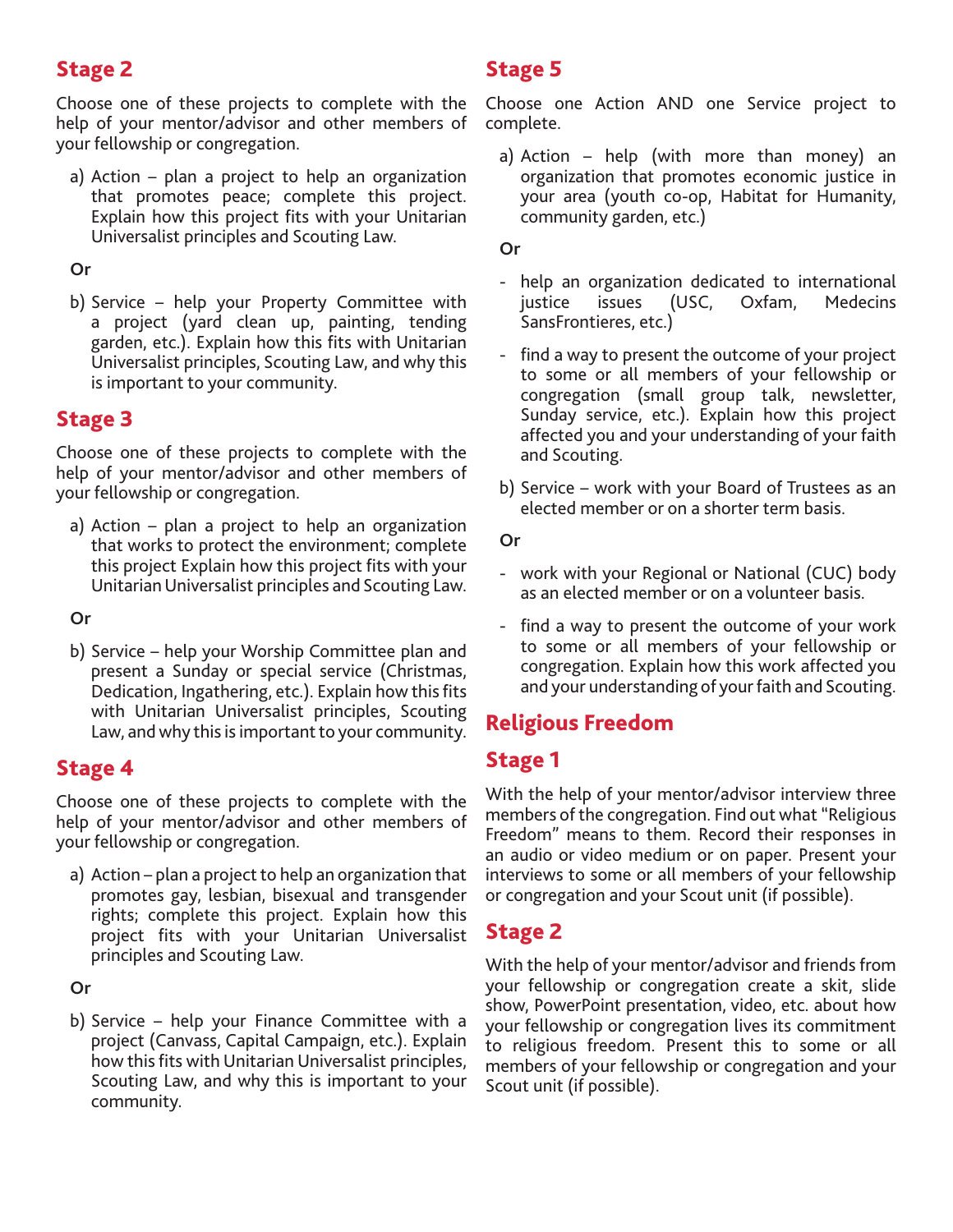# Stage 2

Choose one of these projects to complete with the help of your mentor/advisor and other members of your fellowship or congregation.

a) Action – plan a project to help an organization that promotes peace; complete this project. Explain how this project fits with your Unitarian Universalist principles and Scouting Law.

#### **Or**

b) Service – help your Property Committee with a project (yard clean up, painting, tending garden, etc.). Explain how this fits with Unitarian Universalist principles, Scouting Law, and why this is important to your community.

## Stage 3

Choose one of these projects to complete with the help of your mentor/advisor and other members of your fellowship or congregation.

a) Action – plan a project to help an organization that works to protect the environment; complete this project Explain how this project fits with your Unitarian Universalist principles and Scouting Law.

**Or**

b) Service – help your Worship Committee plan and present a Sunday or special service (Christmas, Dedication, Ingathering, etc.). Explain how this fits with Unitarian Universalist principles, Scouting Law, and why this is important to your community.

### Stage 4

Choose one of these projects to complete with the help of your mentor/advisor and other members of your fellowship or congregation.

a) Action – plan a project to help an organization that promotes gay, lesbian, bisexual and transgender rights; complete this project. Explain how this project fits with your Unitarian Universalist principles and Scouting Law.

**Or**

b) Service – help your Finance Committee with a project (Canvass, Capital Campaign, etc.). Explain how this fits with Unitarian Universalist principles, Scouting Law, and why this is important to your community.

# Stage 5

Choose one Action AND one Service project to complete.

a) Action – help (with more than money) an organization that promotes economic justice in your area (youth co-op, Habitat for Humanity, community garden, etc.)

#### **Or**

- help an organization dedicated to international justice issues (USC, Oxfam, Medecins SansFrontieres, etc.)
- find a way to present the outcome of your project to some or all members of your fellowship or congregation (small group talk, newsletter, Sunday service, etc.). Explain how this project affected you and your understanding of your faith and Scouting.
- b) Service work with your Board of Trustees as an elected member or on a shorter term basis.

**Or**

- work with your Regional or National (CUC) body as an elected member or on a volunteer basis.
- find a way to present the outcome of your work to some or all members of your fellowship or congregation. Explain how this work affected you and your understanding of your faith and Scouting.

# Religious Freedom

# Stage 1

With the help of your mentor/advisor interview three members of the congregation. Find out what "Religious Freedom" means to them. Record their responses in an audio or video medium or on paper. Present your interviews to some or all members of your fellowship or congregation and your Scout unit (if possible).

# Stage 2

With the help of your mentor/advisor and friends from your fellowship or congregation create a skit, slide show, PowerPoint presentation, video, etc. about how your fellowship or congregation lives its commitment to religious freedom. Present this to some or all members of your fellowship or congregation and your Scout unit (if possible).